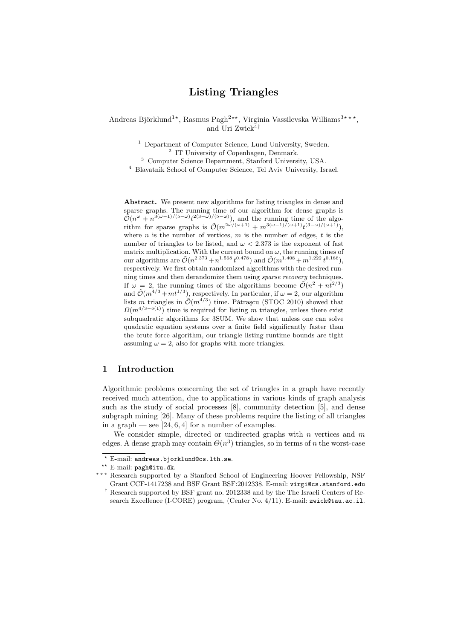# Listing Triangles

Andreas Björklund<sup>1\*</sup>, Rasmus Pagh<sup>2\*\*</sup>, Virginia Vassilevska Williams<sup>3\*\*\*</sup>, and Uri Zwick $4^4$ 

> <sup>1</sup> Department of Computer Science, Lund University, Sweden. 2 IT University of Copenhagen, Denmark. <sup>3</sup> Computer Science Department, Stanford University, USA.

<sup>4</sup> Blavatnik School of Computer Science, Tel Aviv University, Israel.

Abstract. We present new algorithms for listing triangles in dense and sparse graphs. The running time of our algorithm for dense graphs is  $\tilde{\mathcal{O}}(n^{\omega}+n^{3(\omega-1)/(5-\omega)}t^{2(3-\omega)/(5-\omega)})$ , and the running time of the algorithm for sparse graphs is  $\tilde{\mathcal{O}}(m^{2\omega/(\omega+1)} + m^{3(\omega-1)/(\omega+1)}t^{(3-\omega)/(\omega+1)}),$ where  $n$  is the number of vertices,  $m$  is the number of edges,  $t$  is the number of triangles to be listed, and  $\omega < 2.373$  is the exponent of fast matrix multiplication. With the current bound on  $\omega$ , the running times of our algorithms are  $\tilde{\mathcal{O}}(n^{2.373}+n^{1.568}t^{0.478})$  and  $\tilde{\mathcal{O}}(m^{1.408}+m^{1.222}t^{0.186}),$ respectively. We first obtain randomized algorithms with the desired running times and then derandomize them using sparse recovery techniques. If  $\omega = 2$ , the running times of the algorithms become  $\tilde{\mathcal{O}}(n^2 + nt^{2/3})$ and  $\tilde{\mathcal{O}}(m^{4/3} + mt^{1/3})$ , respectively. In particular, if  $\omega = 2$ , our algorithm lists m triangles in  $\tilde{\mathcal{O}}(m^{4/3})$  time. Pǎtraşcu (STOC 2010) showed that  $\Omega(m^{4/3-o(1)})$  time is required for listing m triangles, unless there exist subquadratic algorithms for 3SUM. We show that unless one can solve quadratic equation systems over a finite field significantly faster than the brute force algorithm, our triangle listing runtime bounds are tight assuming  $\omega = 2$ , also for graphs with more triangles.

## 1 Introduction

Algorithmic problems concerning the set of triangles in a graph have recently received much attention, due to applications in various kinds of graph analysis such as the study of social processes [8], community detection [5], and dense subgraph mining [26]. Many of these problems require the listing of all triangles in a graph — see  $[24, 6, 4]$  for a number of examples.

We consider simple, directed or undirected graphs with n vertices and  $m$ edges. A dense graph may contain  $\Theta(n^3)$  triangles, so in terms of n the worst-case

 $^{\star}$  E-mail: andreas.bjorklund@cs.lth.se.

<sup>\*\*</sup> E-mail: pagh@itu.dk.

<sup>\*\*\*</sup> Research supported by a Stanford School of Engineering Hoover Fellowship, NSF Grant CCF-1417238 and BSF Grant BSF:2012338. E-mail: virgi@cs.stanford.edu

<sup>†</sup> Research supported by BSF grant no. 2012338 and by the The Israeli Centers of Research Excellence (I-CORE) program, (Center No. 4/11). E-mail: zwick@tau.ac.il.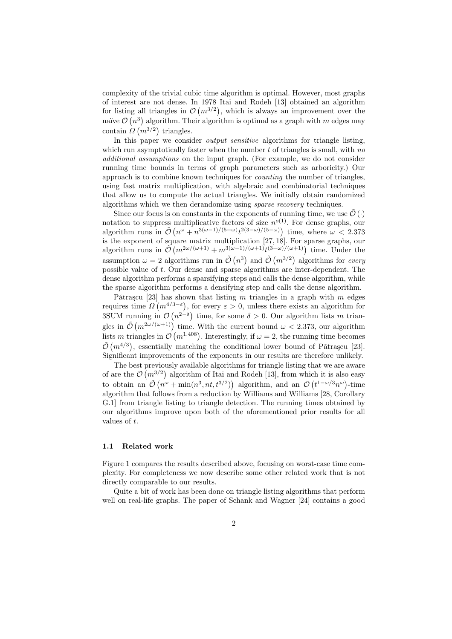complexity of the trivial cubic time algorithm is optimal. However, most graphs of interest are not dense. In 1978 Itai and Rodeh [13] obtained an algorithm for listing all triangles in  $\mathcal{O}(m^{3/2})$ , which is always an improvement over the naïve  $\mathcal{O}(n^3)$  algorithm. Their algorithm is optimal as a graph with m edges may contain  $\Omega(m^{3/2})$  triangles.

In this paper we consider *output sensitive* algorithms for triangle listing, which run asymptotically faster when the number  $t$  of triangles is small, with no additional assumptions on the input graph. (For example, we do not consider running time bounds in terms of graph parameters such as arboricity.) Our approach is to combine known techniques for counting the number of triangles, using fast matrix multiplication, with algebraic and combinatorial techniques that allow us to compute the actual triangles. We initially obtain randomized algorithms which we then derandomize using sparse recovery techniques.

Since our focus is on constants in the exponents of running time, we use  $\tilde{\mathcal{O}}(\cdot)$ notation to suppress multiplicative factors of size  $n^{o(1)}$ . For dense graphs, our algorithm runs in  $\tilde{\mathcal{O}}\left(n^{\omega}+n^{3(\omega-1)/(5-\omega)}t^{2(3-\omega)/(5-\omega)}\right)$  time, where  $\omega < 2.373$ is the exponent of square matrix multiplication [27, 18]. For sparse graphs, our algorithm runs in  $\tilde{\mathcal{O}}(m^{2\omega/(\omega+1)} + m^{3(\omega-1)/(\omega+1)}t^{(3-\omega)/(\omega+1)})$  time. Under the assumption  $\omega = 2$  algorithms run in  $\tilde{\mathcal{O}}(n^3)$  and  $\tilde{\mathcal{O}}(m^{3/2})$  algorithms for every possible value of t. Our dense and sparse algorithms are inter-dependent. The dense algorithm performs a sparsifying steps and calls the dense algorithm, while the sparse algorithm performs a densifying step and calls the dense algorithm.

Pǎtraşcu [23] has shown that listing m triangles in a graph with m edges requires time  $\Omega\left(m^{4/3-\epsilon}\right)$ , for every  $\varepsilon > 0$ , unless there exists an algorithm for 3SUM running in  $\mathcal{O}(n^{2-\delta})$  time, for some  $\delta > 0$ . Our algorithm lists m triangles in  $\tilde{\mathcal{O}}(m^{2\omega/(\omega+1)})$  time. With the current bound  $\omega < 2.373$ , our algorithm lists m triangles in  $\mathcal{O}(m^{1.408})$ . Interestingly, if  $\omega = 2$ , the running time becomes  $\tilde{\mathcal{O}}(m^{4/3})$ , essentially matching the conditional lower bound of Pătraşcu [23]. Significant improvements of the exponents in our results are therefore unlikely.

The best previously available algorithms for triangle listing that we are aware of are the  $\mathcal{O}(m^{3/2})$  algorithm of Itai and Rodeh [13], from which it is also easy to obtain an  $\tilde{\mathcal{O}}(n^{\omega} + \min(n^3, nt, t^{3/2}))$  algorithm, and an  $\mathcal{O}(t^{1-\omega/3}n^{\omega})$ -time algorithm that follows from a reduction by Williams and Williams [28, Corollary G.1] from triangle listing to triangle detection. The running times obtained by our algorithms improve upon both of the aforementioned prior results for all values of t.

#### 1.1 Related work

Figure 1 compares the results described above, focusing on worst-case time complexity. For completeness we now describe some other related work that is not directly comparable to our results.

Quite a bit of work has been done on triangle listing algorithms that perform well on real-life graphs. The paper of Schank and Wagner [24] contains a good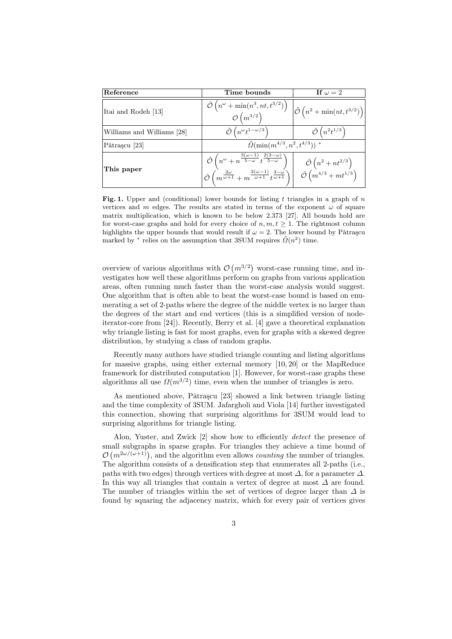| Reference                  | Time bounds                                                                                                                                                                                                                                                                                                                                                                                                                      | If $\omega = 2$                                                     |
|----------------------------|----------------------------------------------------------------------------------------------------------------------------------------------------------------------------------------------------------------------------------------------------------------------------------------------------------------------------------------------------------------------------------------------------------------------------------|---------------------------------------------------------------------|
| Itai and Rodeh [13]        | $\tilde{\mathcal{O}}\left(n^{\omega} + \min(n^3, nt, t^{3/2})\right)$<br>$\mathcal{O}(m^{3/2})$                                                                                                                                                                                                                                                                                                                                  | $\left \tilde{\mathcal{O}}\left(n^2+\min(nt,t^{3/2})\right)\right $ |
| Williams and Williams [28] | $\tilde{\mathcal{O}}\left(n^{\omega}t^{1-\omega/3}\right)$                                                                                                                                                                                                                                                                                                                                                                       | $\tilde{\mathcal{O}}\left(n^2t^{1/3}\right)$                        |
| Pătrașcu [23]              | $\tilde{\Omega}(\min(m^{4/3},n^2,t^{4/3}))$ *                                                                                                                                                                                                                                                                                                                                                                                    |                                                                     |
| This paper                 | $\left \, \begin{array}{c}\tilde{\mathcal{O}}\left(n^\omega+n^{\frac{3(\omega-1)}{5-\omega}}t^{\frac{2(3-\omega)}{5-\omega}}\right)\\ \tilde{\mathcal{O}}\left(m^{\frac{2\omega}{\omega+1}}+m^{\frac{3(\omega-1)}{\omega+1}}t^{\frac{3-\omega}{\omega+1}}\right)\end{array}\right \, \left \, \begin{array}{c}\tilde{\mathcal{O}}\left(n^2+nt^{2/3}\right)\\ \tilde{\mathcal{O}}\left(m^{4/3}+mt^{1/3}\right)\end{array}\right.$ |                                                                     |

Fig. 1. Upper and (conditional) lower bounds for listing  $t$  triangles in a graph of  $n$ vertices and m edges. The results are stated in terms of the exponent  $\omega$  of square matrix multiplication, which is known to be below 2.373 [27]. All bounds hold are for worst-case graphs and hold for every choice of  $n, m, t \geq 1$ . The rightmost column highlights the upper bounds that would result if  $\omega = 2$ . The lower bound by Pǎtrascu marked by  $*$  relies on the assumption that 3SUM requires  $\tilde{\Omega}(n^2)$  time.

overview of various algorithms with  $\mathcal{O}(m^{3/2})$  worst-case running time, and investigates how well these algorithms perform on graphs from various application areas, often running much faster than the worst-case analysis would suggest. One algorithm that is often able to beat the worst-case bound is based on enumerating a set of 2-paths where the degree of the middle vertex is no larger than the degrees of the start and end vertices (this is a simplified version of nodeiterator-core from [24]). Recently, Berry et al. [4] gave a theoretical explanation why triangle listing is fast for most graphs, even for graphs with a skewed degree distribution, by studying a class of random graphs.

Recently many authors have studied triangle counting and listing algorithms for massive graphs, using either external memory [10, 20] or the MapReduce framework for distributed computation [1]. However, for worst-case graphs these algorithms all use  $\Omega(m^{3/2})$  time, even when the number of triangles is zero.

As mentioned above, Pǎtrascu [23] showed a link between triangle listing and the time complexity of 3SUM. Jafargholi and Viola [14] further investigated this connection, showing that surprising algorithms for 3SUM would lead to surprising algorithms for triangle listing.

Alon, Yuster, and Zwick [2] show how to efficiently detect the presence of small subgraphs in sparse graphs. For triangles they achieve a time bound of  $\mathcal{O}(m^{2\omega/(\omega+1)})$ , and the algorithm even allows *counting* the number of triangles. The algorithm consists of a densification step that enumerates all 2-paths (i.e., paths with two edges) through vertices with degree at most  $\Delta$ , for a parameter  $\Delta$ . In this way all triangles that contain a vertex of degree at most  $\Delta$  are found. The number of triangles within the set of vertices of degree larger than  $\Delta$  is found by squaring the adjacency matrix, which for every pair of vertices gives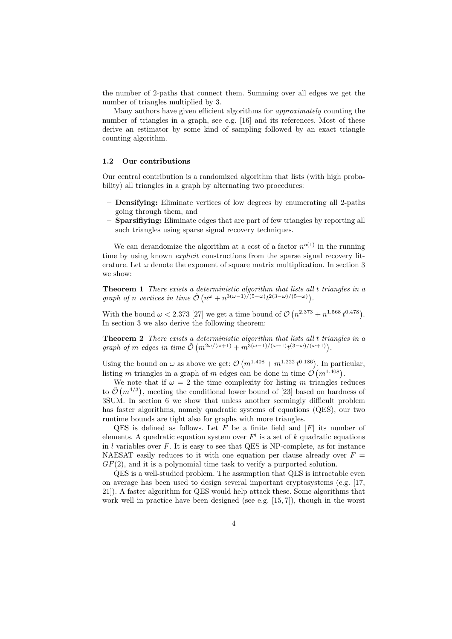the number of 2-paths that connect them. Summing over all edges we get the number of triangles multiplied by 3.

Many authors have given efficient algorithms for approximately counting the number of triangles in a graph, see e.g. [16] and its references. Most of these derive an estimator by some kind of sampling followed by an exact triangle counting algorithm.

#### 1.2 Our contributions

Our central contribution is a randomized algorithm that lists (with high probability) all triangles in a graph by alternating two procedures:

- Densifying: Eliminate vertices of low degrees by enumerating all 2-paths going through them, and
- Sparsifiying: Eliminate edges that are part of few triangles by reporting all such triangles using sparse signal recovery techniques.

We can derandomize the algorithm at a cost of a factor  $n^{o(1)}$  in the running time by using known *explicit* constructions from the sparse signal recovery literature. Let  $\omega$  denote the exponent of square matrix multiplication. In section 3 we show:

Theorem 1 There exists a deterministic algorithm that lists all t triangles in a graph of n vertices in time  $\tilde{\mathcal{O}}\left(n^{\omega}+n^{3(\omega-1)/(5-\omega)}t^{2(3-\omega)/(5-\omega)}\right)$ .

With the bound  $\omega < 2.373$  [27] we get a time bound of  $\mathcal{O}(n^{2.373} + n^{1.568} t^{0.478})$ . In section 3 we also derive the following theorem:

Theorem 2 There exists a deterministic algorithm that lists all t triangles in a graph of m edges in time  $\tilde{\mathcal{O}}\left(m^{2\omega/(\omega+1)}+m^{3(\omega-1)/(\omega+1)}t^{(3-\omega)/(\omega+1)}\right)$ .

Using the bound on  $\omega$  as above we get:  $\mathcal{O}(m^{1.408} + m^{1.222} t^{0.186})$ . In particular, listing m triangles in a graph of m edges can be done in time  $\mathcal{O}(m^{1.408})$ .

We note that if  $\omega = 2$  the time complexity for listing m triangles reduces to  $\tilde{\mathcal{O}}(m^{4/3})$ , meeting the conditional lower bound of [23] based on hardness of 3SUM. In section 6 we show that unless another seemingly difficult problem has faster algorithms, namely quadratic systems of equations (QES), our two runtime bounds are tight also for graphs with more triangles.

QES is defined as follows. Let  $F$  be a finite field and  $|F|$  its number of elements. A quadratic equation system over  $F<sup>l</sup>$  is a set of k quadratic equations in  $l$  variables over  $F$ . It is easy to see that QES is NP-complete, as for instance NAESAT easily reduces to it with one equation per clause already over  $F =$  $GF(2)$ , and it is a polynomial time task to verify a purported solution.

QES is a well-studied problem. The assumption that QES is intractable even on average has been used to design several important cryptosystems (e.g. [17, 21]). A faster algorithm for QES would help attack these. Some algorithms that work well in practice have been designed (see e.g.  $[15, 7]$ ), though in the worst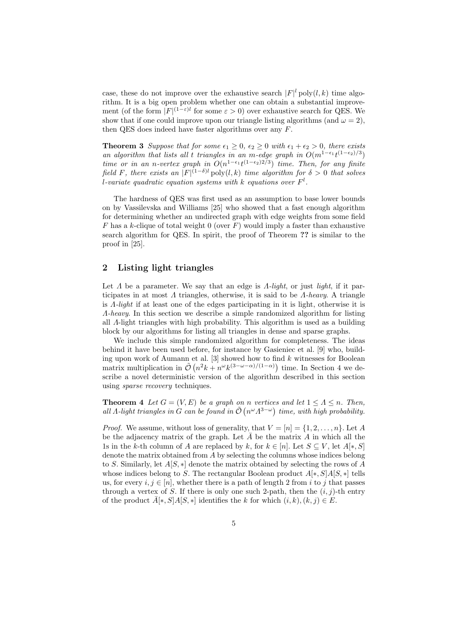case, these do not improve over the exhaustive search  $|F|^l$  poly $(l, k)$  time algorithm. It is a big open problem whether one can obtain a substantial improvement (of the form  $|F|^{(1-\varepsilon)l}$  for some  $\varepsilon > 0$ ) over exhaustive search for QES. We show that if one could improve upon our triangle listing algorithms (and  $\omega = 2$ ), then QES does indeed have faster algorithms over any F.

**Theorem 3** Suppose that for some  $\epsilon_1 \geq 0$ ,  $\epsilon_2 \geq 0$  with  $\epsilon_1 + \epsilon_2 > 0$ , there exists an algorithm that lists all t triangles in an m-edge graph in  $O(m^{1-\epsilon_1}t^{(1-\epsilon_2)/3})$ time or in an n-vertex graph in  $O(n^{1-\epsilon_1}t^{(1-\epsilon_2)2/3})$  time. Then, for any finite field F, there exists an  $|F|^{(1-\delta)l}$  poly $(l,k)$  time algorithm for  $\delta > 0$  that solves *l*-variate quadratic equation systems with  $k$  equations over  $F^l$ .

The hardness of QES was first used as an assumption to base lower bounds on by Vassilevska and Williams [25] who showed that a fast enough algorithm for determining whether an undirected graph with edge weights from some field F has a k-clique of total weight 0 (over  $F$ ) would imply a faster than exhaustive search algorithm for QES. In spirit, the proof of Theorem ?? is similar to the proof in [25].

## 2 Listing light triangles

Let  $\Lambda$  be a parameter. We say that an edge is  $\Lambda$ -light, or just light, if it participates in at most  $\Lambda$  triangles, otherwise, it is said to be  $\Lambda$ -heavy. A triangle is  $\Lambda$ -light if at least one of the edges participating in it is light, otherwise it is Λ-heavy. In this section we describe a simple randomized algorithm for listing all Λ-light triangles with high probability. This algorithm is used as a building block by our algorithms for listing all triangles in dense and sparse graphs.

We include this simple randomized algorithm for completeness. The ideas behind it have been used before, for instance by Gasieniec et al. [9] who, building upon work of Aumann et al.  $[3]$  showed how to find k witnesses for Boolean matrix multiplication in  $\tilde{\mathcal{O}}\left(n^2k + n^{\omega}k^{(3-\omega-\alpha)/(1-\alpha)}\right)$  time. In Section 4 we describe a novel deterministic version of the algorithm described in this section using sparse recovery techniques.

**Theorem 4** Let  $G = (V, E)$  be a graph on n vertices and let  $1 \leq A \leq n$ . Then, all  $\Lambda$ -light triangles in  $G$  can be found in  $\tilde{\mathcal{O}}(\eta^{\omega} \Lambda^{3-\omega})$  time, with high probability.

*Proof.* We assume, without loss of generality, that  $V = [n] = \{1, 2, \ldots, n\}$ . Let A be the adjacency matrix of the graph. Let  $\bar{A}$  be the matrix A in which all the 1s in the k-th column of A are replaced by k, for  $k \in [n]$ . Let  $S \subseteq V$ , let  $A[*, S]$ denote the matrix obtained from A by selecting the columns whose indices belong to S. Similarly, let  $A[S, *]$  denote the matrix obtained by selecting the rows of A whose indices belong to S. The rectangular Boolean product  $A[*, S]A[S, *]$  tells us, for every  $i, j \in [n]$ , whether there is a path of length 2 from i to j that passes through a vertex of S. If there is only one such 2-path, then the  $(i, j)$ -th entry of the product  $\bar{A}[*, S]A[S, *]$  identifies the k for which  $(i, k), (k, j) \in E$ .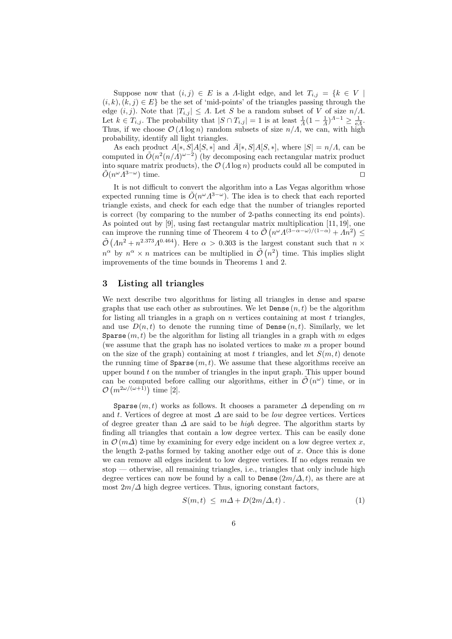Suppose now that  $(i, j) \in E$  is a *Λ*-light edge, and let  $T_{i,j} = \{k \in V \mid$  $(i, k), (k, j) \in E$  be the set of 'mid-points' of the triangles passing through the edge  $(i, j)$ . Note that  $|T_{i,j}| \leq \Lambda$ . Let S be a random subset of V of size  $n/\Lambda$ . Let  $k \in T_{i,j}$ . The probability that  $|S \cap T_{i,j}| = 1$  is at least  $\frac{1}{A}(1 - \frac{1}{A})^{A-1} \ge \frac{1}{eA}$ . Thus, if we choose  $\mathcal{O}(A \log n)$  random subsets of size  $n/A$ , we can, with high probability, identify all light triangles.

As each product  $A[*, S]A[S, *]$  and  $\overline{A}[*, S]A[S, *]$ , where  $|S| = n/A$ , can be computed in  $\tilde{O}(n^2(n/\Lambda)^{\omega-2})$  (by decomposing each rectangular matrix product into square matrix products), the  $\mathcal{O}(A \log n)$  products could all be computed in  $\tilde{O}(n^{\omega} \tilde{\Lambda}^{3-\omega})$  time.  $\Box$ 

It is not difficult to convert the algorithm into a Las Vegas algorithm whose expected running time is  $\tilde{O}(n^{\omega} \Lambda^{3-\omega})$ . The idea is to check that each reported triangle exists, and check for each edge that the number of triangles reported is correct (by comparing to the number of 2-paths connecting its end points). As pointed out by [9], using fast rectangular matrix multiplication [11, 19], one can improve the running time of Theorem 4 to  $\tilde{\mathcal{O}}\left(n^{\omega} \Lambda^{(3-\alpha-\omega)/(1-\alpha)}+A n^2\right) \leq$  $\tilde{\mathcal{O}}\left(\Lambda n^2 + n^{2.373}\Lambda^{0.464}\right)$ . Here  $\alpha > 0.303$  is the largest constant such that  $n \times$  $n^{\alpha}$  by  $n^{\alpha} \times n$  matrices can be multiplied in  $\tilde{\mathcal{O}}(n^2)$  time. This implies slight improvements of the time bounds in Theorems 1 and 2.

#### 3 Listing all triangles

We next describe two algorithms for listing all triangles in dense and sparse graphs that use each other as subroutines. We let  $Dense(n, t)$  be the algorithm for listing all triangles in a graph on  $n$  vertices containing at most  $t$  triangles, and use  $D(n, t)$  to denote the running time of Dense  $(n, t)$ . Similarly, we let Sparse  $(m, t)$  be the algorithm for listing all triangles in a graph with m edges (we assume that the graph has no isolated vertices to make m a proper bound on the size of the graph) containing at most t triangles, and let  $S(m, t)$  denote the running time of  $Sparse(m, t)$ . We assume that these algorithms receive an upper bound t on the number of triangles in the input graph. This upper bound can be computed before calling our algorithms, either in  $\tilde{\mathcal{O}}(n^{\omega})$  time, or in  $\mathcal{O}(m^{2\omega/(\omega+1)})$  time [2].

Sparse  $(m, t)$  works as follows. It chooses a parameter  $\Delta$  depending on m and t. Vertices of degree at most  $\Delta$  are said to be *low* degree vertices. Vertices of degree greater than  $\Delta$  are said to be *high* degree. The algorithm starts by finding all triangles that contain a low degree vertex. This can be easily done in  $\mathcal{O}(m\Delta)$  time by examining for every edge incident on a low degree vertex x, the length 2-paths formed by taking another edge out of  $x$ . Once this is done we can remove all edges incident to low degree vertices. If no edges remain we stop — otherwise, all remaining triangles, i.e., triangles that only include high degree vertices can now be found by a call to Dense  $(2m/\Delta, t)$ , as there are at most  $2m/\Delta$  high degree vertices. Thus, ignoring constant factors,

$$
S(m,t) \leq m\Delta + D(2m/\Delta, t) \tag{1}
$$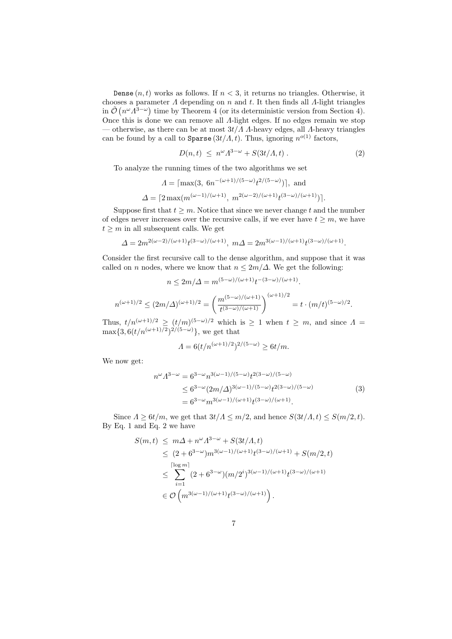Dense  $(n, t)$  works as follows. If  $n < 3$ , it returns no triangles. Otherwise, it chooses a parameter  $\Lambda$  depending on  $n$  and  $t$ . It then finds all  $\Lambda$ -light triangles in  $\tilde{\mathcal{O}}(n^{\omega} \Lambda^{3-\omega})$  time by Theorem 4 (or its deterministic version from Section 4). Once this is done we can remove all Λ-light edges. If no edges remain we stop — otherwise, as there can be at most  $3t/A$  Λ-heavy edges, all Λ-heavy triangles can be found by a call to Sparse  $(3t/A, t)$ . Thus, ignoring  $n^{o(1)}$  factors,

$$
D(n,t) \leq n^{\omega} \Lambda^{3-\omega} + S(3t/\Lambda, t) \,. \tag{2}
$$

.

To analyze the running times of the two algorithms we set

$$
\Lambda = \lceil \max(3, 6n^{-(\omega+1)/(5-\omega)} t^{2/(5-\omega)}) \rceil, \text{ and}
$$

$$
\Delta = \lceil 2 \max(m^{(\omega-1)/(\omega+1)}, m^{2(\omega-2)/(\omega+1)} t^{(3-\omega)/(\omega+1)}) \rceil.
$$

Suppose first that  $t \geq m$ . Notice that since we never change t and the number of edges never increases over the recursive calls, if we ever have  $t \geq m$ , we have  $t \geq m$  in all subsequent calls. We get

$$
\varDelta=2m^{2(\omega-2)/(\omega+1)}t^{(3-\omega)/(\omega+1)},\;m\varDelta=2m^{3(\omega-1)/(\omega+1)}t^{(3-\omega)/(\omega+1)}
$$

Consider the first recursive call to the dense algorithm, and suppose that it was called on *n* nodes, where we know that  $n \leq 2m/\Delta$ . We get the following:

$$
n \le 2m/\Delta = m^{(5-\omega)/(\omega+1)} t^{-(3-\omega)/(\omega+1)}.
$$

$$
n^{(\omega+1)/2} \le (2m/\Delta)^{(\omega+1)/2} = \left(\frac{m^{(5-\omega)/(\omega+1)}}{t^{(3-\omega)/(\omega+1)}}\right)^{(\omega+1)/2} = t \cdot (m/t)^{(5-\omega)/2}.
$$

Thus,  $t/n^{(\omega+1)/2} \ge (t/m)^{(5-\omega)/2}$  which is  $\ge 1$  when  $t \ge m$ , and since  $\Lambda =$  $\max\{3,6(t/n^{(\omega+1)/2})^{2/(5-\omega)}\}$ , we get that

$$
\Lambda = 6(t/n^{(\omega+1)/2})^{2/(5-\omega)} \ge 6t/m.
$$

We now get:

$$
n^{\omega} \Lambda^{3-\omega} = 6^{3-\omega} n^{3(\omega-1)/(5-\omega)} t^{2(3-\omega)/(5-\omega)}
$$
  
\n
$$
\leq 6^{3-\omega} (2m/\Delta)^{3(\omega-1)/(5-\omega)} t^{2(3-\omega)/(5-\omega)}
$$
  
\n
$$
= 6^{3-\omega} m^{3(\omega-1)/(\omega+1)} t^{(3-\omega)/(\omega+1)}.
$$
\n(3)

Since  $\Lambda \geq 6t/m$ , we get that  $3t/\Lambda \leq m/2$ , and hence  $S(3t/\Lambda, t) \leq S(m/2, t)$ . By Eq. 1 and Eq. 2 we have

$$
S(m,t) \leq m\Delta + n^{\omega} \Lambda^{3-\omega} + S(3t/\Lambda, t)
$$
  
\n
$$
\leq (2 + 6^{3-\omega}) m^{3(\omega-1)/(\omega+1)} t^{(3-\omega)/(\omega+1)} + S(m/2, t)
$$
  
\n
$$
\leq \sum_{i=1}^{\lceil \log m \rceil} (2 + 6^{3-\omega}) (m/2^i)^{3(\omega-1)/(\omega+1)} t^{(3-\omega)/(\omega+1)}
$$
  
\n
$$
\in \mathcal{O}\left(m^{3(\omega-1)/(\omega+1)} t^{(3-\omega)/(\omega+1)}\right).
$$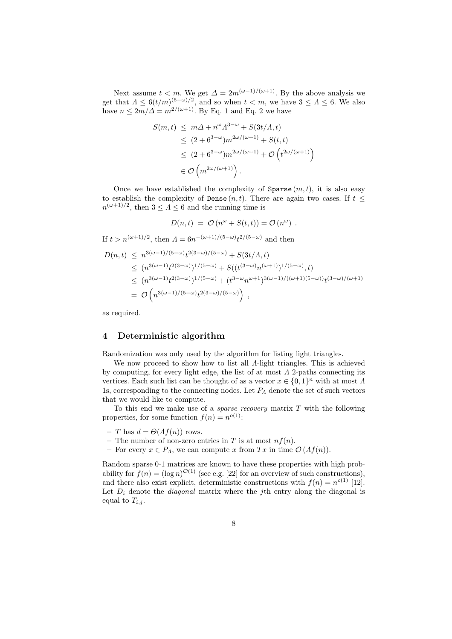Next assume  $t < m$ . We get  $\Delta = 2m^{(\omega-1)/(\omega+1)}$ . By the above analysis we get that  $\Lambda \leq 6(t/m)^{(5-\omega)/2}$ , and so when  $t < m$ , we have  $3 \leq \Lambda \leq 6$ . We also have  $n \leq 2m/\Delta = m^{2/(\omega+1)}$ . By Eq. 1 and Eq. 2 we have

$$
S(m,t) \leq m\Delta + n^{\omega} \Lambda^{3-\omega} + S(3t/\Lambda, t)
$$
  
\n
$$
\leq (2 + 6^{3-\omega}) m^{2\omega/(\omega+1)} + S(t, t)
$$
  
\n
$$
\leq (2 + 6^{3-\omega}) m^{2\omega/(\omega+1)} + \mathcal{O}\left(t^{2\omega/(\omega+1)}\right)
$$
  
\n
$$
\in \mathcal{O}\left(m^{2\omega/(\omega+1)}\right).
$$

Once we have established the complexity of  $\texttt{Sparse}(m, t)$ , it is also easy to establish the complexity of Dense  $(n, t)$ . There are again two cases. If  $t \leq$  $n^{(\omega+1)/2}$ , then  $3 \leq \Lambda \leq 6$  and the running time is

$$
D(n,t) = \mathcal{O}(n^{\omega} + S(t,t)) = \mathcal{O}(n^{\omega}).
$$

If 
$$
t > n^{(\omega+1)/2}
$$
, then  $\Lambda = 6n^{-(\omega+1)/(5-\omega)}t^{2/(5-\omega)}$  and then  
\n
$$
D(n,t) \leq n^{3(\omega-1)/(5-\omega)}t^{2(3-\omega)/(5-\omega)} + S(3t/\Lambda, t)
$$
\n
$$
\leq (n^{3(\omega-1)}t^{2(3-\omega)})^{1/(5-\omega)} + S((t^{(3-\omega)}n^{(\omega+1)})^{1/(5-\omega)}, t)
$$
\n
$$
\leq (n^{3(\omega-1)}t^{2(3-\omega)})^{1/(5-\omega)} + (t^{3-\omega}n^{\omega+1})^{3(\omega-1)/((\omega+1)(5-\omega))}t^{(3-\omega)/(\omega+1)}
$$
\n
$$
= O\left(n^{3(\omega-1)/(5-\omega)}t^{2(3-\omega)/(5-\omega)}\right),
$$

as required.

## 4 Deterministic algorithm

Randomization was only used by the algorithm for listing light triangles.

We now proceed to show how to list all Λ-light triangles. This is achieved by computing, for every light edge, the list of at most  $\Lambda$  2-paths connecting its vertices. Each such list can be thought of as a vector  $x \in \{0,1\}^n$  with at most  $\Lambda$ 1s, corresponding to the connecting nodes. Let  $P_A$  denote the set of such vectors that we would like to compute.

To this end we make use of a *sparse recovery* matrix  $T$  with the following properties, for some function  $f(n) = n^{o(1)}$ :

- T has  $d = \Theta(\Lambda f(n))$  rows.
- The number of non-zero entries in T is at most  $nf(n)$ .
- For every  $x \in P_A$ , we can compute x from Tx in time  $\mathcal{O}(Af(n))$ .

Random sparse 0-1 matrices are known to have these properties with high probability for  $f(n) = (\log n)^{\mathcal{O}(1)}$  (see e.g. [22] for an overview of such constructions), and there also exist explicit, deterministic constructions with  $f(n) = n^{o(1)}$  [12]. Let  $D_i$  denote the *diagonal* matrix where the j<sup>th</sup> entry along the diagonal is equal to  $T_{i,j}$ .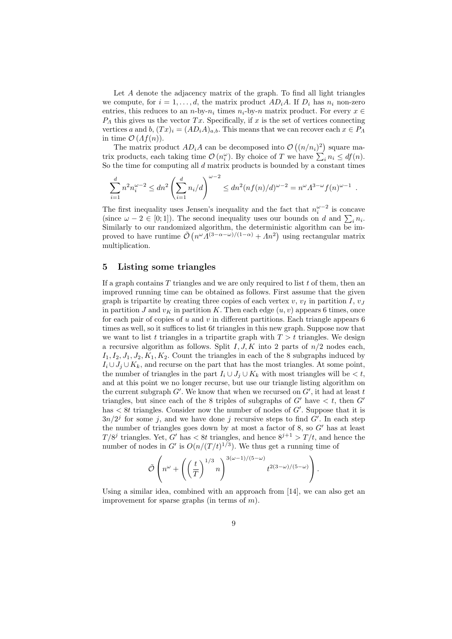Let A denote the adjacency matrix of the graph. To find all light triangles we compute, for  $i = 1, \ldots, d$ , the matrix product  $AD_iA$ . If  $D_i$  has  $n_i$  non-zero entries, this reduces to an n-by- $n_i$  times  $n_i$ -by-n matrix product. For every  $x \in$  $P_A$  this gives us the vector  $Tx$ . Specifically, if x is the set of vertices connecting vertices a and b,  $(Tx)_{i} = (AD_iA)_{a,b}$ . This means that we can recover each  $x \in P_A$ in time  $\mathcal{O}(Af(n)).$ 

The matrix product  $AD_iA$  can be decomposed into  $\mathcal{O}((n/n_i)^2)$  square matrix products, each taking time  $\mathcal{O}(n_i^{\omega})$ . By choice of T we have  $\sum_i n_i \leq df(n)$ . So the time for computing all  $d$  matrix products is bounded by a constant times

$$
\sum_{i=1}^d n^2 n_i^{\omega-2} \le dn^2 \left(\sum_{i=1}^d n_i/d\right)^{\omega-2} \le dn^2 (nf(n)/d)^{\omega-2} = n^{\omega} \Lambda^{3-\omega} f(n)^{\omega-1} .
$$

The first inequality uses Jensen's inequality and the fact that  $n_i^{\omega-2}$  is concave (since  $\omega - 2 \in [0, 1]$ ). The second inequality uses our bounds on d and  $\sum_i n_i$ . Similarly to our randomized algorithm, the deterministic algorithm can be improved to have runtime  $\tilde{\mathcal{O}}\left(n^{\omega} \tilde{\Lambda}^{(3-\alpha-\omega)/(1-\alpha)} + \Lambda n^2\right)$  using rectangular matrix multiplication.

#### 5 Listing some triangles

If a graph contains  $T$  triangles and we are only required to list  $t$  of them, then an improved running time can be obtained as follows. First assume that the given graph is tripartite by creating three copies of each vertex  $v, v_I$  in partition I,  $v_J$ in partition J and  $v_K$  in partition K. Then each edge  $(u, v)$  appears 6 times, once for each pair of copies of  $u$  and  $v$  in different partitions. Each triangle appears  $6$ times as well, so it suffices to list 6t triangles in this new graph. Suppose now that we want to list t triangles in a tripartite graph with  $T > t$  triangles. We design a recursive algorithm as follows. Split  $I, J, K$  into 2 parts of  $n/2$  nodes each,  $I_1, I_2, J_1, J_2, K_1, K_2$ . Count the triangles in each of the 8 subgraphs induced by  $I_i \cup J_j \cup K_k$ , and recurse on the part that has the most triangles. At some point, the number of triangles in the part  $I_i \cup J_j \cup K_k$  with most triangles will be  $\lt t$ , and at this point we no longer recurse, but use our triangle listing algorithm on the current subgraph  $G'$ . We know that when we recursed on  $G'$ , it had at least t triangles, but since each of the 8 triples of subgraphs of  $G'$  have  $\lt t$ , then  $G'$ has  $< 8t$  triangles. Consider now the number of nodes of  $G'$ . Suppose that it is  $3n/2<sup>j</sup>$  for some j, and we have done j recursive steps to find G'. In each step the number of triangles goes down by at most a factor of  $8$ , so  $G'$  has at least  $T/8^j$  triangles. Yet, G' has  $< 8t$  triangles, and hence  $8^{j+1} > T/t$ , and hence the number of nodes in G' is  $O(n/(T/t)^{1/3})$ . We thus get a running time of

$$
\tilde{\mathcal{O}}\left(n^{\omega}+\left(\left(\frac{t}{T}\right)^{1/3}n\right)^{3(\omega-1)/(5-\omega)}t^{2(3-\omega)/(5-\omega)}\right).
$$

Using a similar idea, combined with an approach from [14], we can also get an improvement for sparse graphs (in terms of  $m$ ).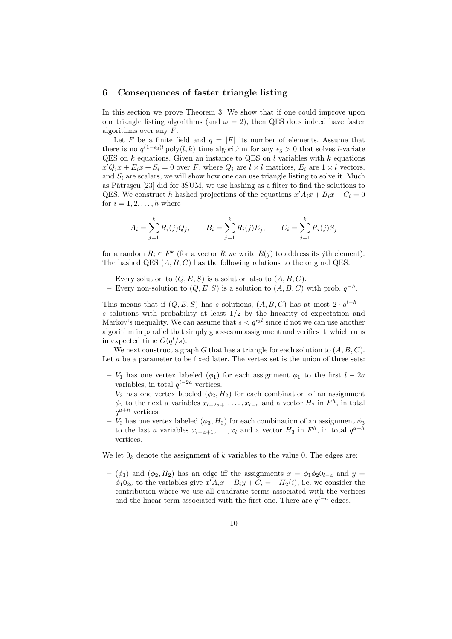#### 6 Consequences of faster triangle listing

In this section we prove Theorem 3. We show that if one could improve upon our triangle listing algorithms (and  $\omega = 2$ ), then QES does indeed have faster algorithms over any F.

Let F be a finite field and  $q = |F|$  its number of elements. Assume that there is no  $q^{(1-\epsilon_3)l}$  poly $(l, k)$  time algorithm for any  $\epsilon_3 > 0$  that solves *l*-variate QES on  $k$  equations. Given an instance to QES on  $l$  variables with  $k$  equations  $x'Q_ix + E_ix + S_i = 0$  over F, where  $Q_i$  are  $l \times l$  matrices,  $E_i$  are  $1 \times l$  vectors, and  $S_i$  are scalars, we will show how one can use triangle listing to solve it. Much as Pǎtrașcu [23] did for 3SUM, we use hashing as a filter to find the solutions to QES. We construct h hashed projections of the equations  $x'A_ix + B_ix + C_i = 0$ for  $i = 1, 2, \ldots, h$  where

$$
A_i = \sum_{j=1}^k R_i(j)Q_j, \qquad B_i = \sum_{j=1}^k R_i(j)E_j, \qquad C_i = \sum_{j=1}^k R_i(j)S_j
$$

for a random  $R_i \in F^k$  (for a vector R we write  $R(j)$  to address its jth element). The hashed QES  $(A, B, C)$  has the following relations to the original QES:

- Every solution to  $(Q, E, S)$  is a solution also to  $(A, B, C)$ .
- Every non-solution to  $(Q, E, S)$  is a solution to  $(A, B, C)$  with prob.  $q^{-h}$ .

This means that if  $(Q, E, S)$  has s solutions,  $(A, B, C)$  has at most  $2 \cdot q^{l-h}$  + s solutions with probability at least 1/2 by the linearity of expectation and Markov's inequality. We can assume that  $s < q^{\epsilon_3 l}$  since if not we can use another algorithm in parallel that simply guesses an assignment and verifies it, which runs in expected time  $O(q^l/s)$ .

We next construct a graph G that has a triangle for each solution to  $(A, B, C)$ . Let a be a parameter to be fixed later. The vertex set is the union of three sets:

- $V_1$  has one vertex labeled  $(\phi_1)$  for each assignment  $\phi_1$  to the first  $l 2a$ variables, in total  $q^{l-2a}$  vertices.
- $V_2$  has one vertex labeled  $(\phi_2, H_2)$  for each combination of an assignment  $\phi_2$  to the next a variables  $x_{l-2a+1}, \ldots, x_{l-a}$  and a vector  $H_2$  in  $F^h$ , in total  $q^{a+h}$  vertices.
- $-\bar{V}_3$  has one vertex labeled  $(\phi_3, H_3)$  for each combination of an assignment  $\phi_3$ to the last a variables  $x_{l-a+1}, \ldots, x_l$  and a vector  $H_3$  in  $F^h$ , in total  $q^{a+h}$ vertices.

We let  $0_k$  denote the assignment of k variables to the value 0. The edges are:

– ( $\phi_1$ ) and ( $\phi_2$ ,  $H_2$ ) has an edge iff the assignments  $x = \phi_1 \phi_2 0_{l-a}$  and  $y =$  $\phi_1 0_{2a}$  to the variables give  $x'A_i x + B_i y + C_i = -H_2(i)$ , i.e. we consider the contribution where we use all quadratic terms associated with the vertices and the linear term associated with the first one. There are  $q^{l-a}$  edges.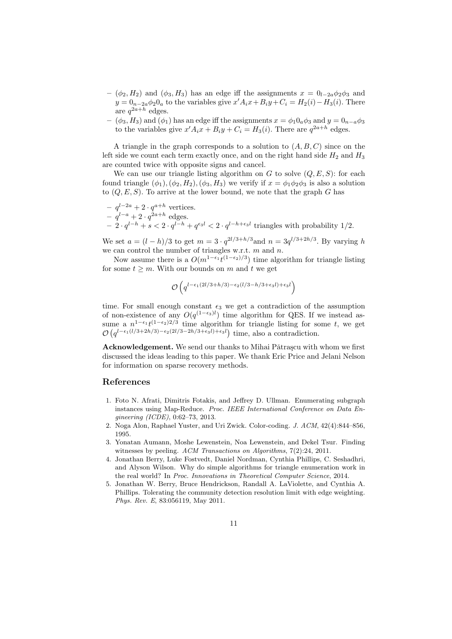- $(\phi_2, H_2)$  and  $(\phi_3, H_3)$  has an edge iff the assignments  $x = 0_{l-2a}\phi_2\phi_3$  and  $y = 0_{n-2a}\phi_2 0_a$  to the variables give  $x'A_i x + B_i y + C_i = H_2(i) - H_3(i)$ . There are  $q^{2a+h}$  edges.
- $(\phi_3, H_3)$  and  $(\phi_1)$  has an edge iff the assignments  $x = \phi_1 0_a \phi_3$  and  $y = 0_{n-a} \phi_3$ to the variables give  $x'A_ix + B_iy + C_i = H_3(i)$ . There are  $q^{2a+h}$  edges.

A triangle in the graph corresponds to a solution to  $(A, B, C)$  since on the left side we count each term exactly once, and on the right hand side  $H_2$  and  $H_3$ are counted twice with opposite signs and cancel.

We can use our triangle listing algorithm on  $G$  to solve  $(Q, E, S)$ : for each found triangle  $(\phi_1), (\phi_2, H_2), (\phi_3, H_3)$  we verify if  $x = \phi_1 \phi_2 \phi_3$  is also a solution to  $(Q, E, S)$ . To arrive at the lower bound, we note that the graph G has

 $- q^{l-2a} + 2 \cdot q^{a+h}$  vertices.  $- q^{l-a} + 2 \cdot q^{2a+h}$  edges.  $-2 \cdot q^{l-h} + s < 2 \cdot q^{l-h} + q^{\epsilon_3 l} < 2 \cdot q^{l-h+\epsilon_3 l}$  triangles with probability 1/2.

We set  $a = (l - h)/3$  to get  $m = 3 \cdot q^{2l/3 + h/3}$  and  $n = 3q^{l/3 + 2h/3}$ . By varying h we can control the number of triangles w.r.t.  $m$  and  $n$ .

Now assume there is a  $O(m^{1-\epsilon_1}t^{(1-\epsilon_2)/3})$  time algorithm for triangle listing for some  $t > m$ . With our bounds on m and t we get

$$
\mathcal{O}\left(q^{l-\epsilon_1(2l/3+h/3)-\epsilon_2(l/3-h/3+\epsilon_3l)+\epsilon_3l}\right)
$$

time. For small enough constant  $\epsilon_3$  we get a contradiction of the assumption of non-existence of any  $O(q^{(1-\epsilon_3)l})$  time algorithm for QES. If we instead assume a  $n^{1-\epsilon_1}t^{(1-\epsilon_2)2/3}$  time algorithm for triangle listing for some t, we get  $\mathcal{O}(q^{l-\epsilon_1(l/3+2h/3)-\epsilon_2(2l/3-2h/3+\epsilon_3l)+\epsilon_3l})$  time, also a contradiction.

Acknowledgement. We send our thanks to Mihai Pǎtraşcu with whom we first discussed the ideas leading to this paper. We thank Eric Price and Jelani Nelson for information on sparse recovery methods.

#### References

- 1. Foto N. Afrati, Dimitris Fotakis, and Jeffrey D. Ullman. Enumerating subgraph instances using Map-Reduce. Proc. IEEE International Conference on Data Engineering (ICDE), 0:62–73, 2013.
- 2. Noga Alon, Raphael Yuster, and Uri Zwick. Color-coding. J. ACM, 42(4):844–856, 1995.
- 3. Yonatan Aumann, Moshe Lewenstein, Noa Lewenstein, and Dekel Tsur. Finding witnesses by peeling. ACM Transactions on Algorithms, 7(2):24, 2011.
- 4. Jonathan Berry, Luke Fostvedt, Daniel Nordman, Cynthia Phillips, C. Seshadhri, and Alyson Wilson. Why do simple algorithms for triangle enumeration work in the real world? In Proc. Innovations in Theoretical Computer Science, 2014.
- 5. Jonathan W. Berry, Bruce Hendrickson, Randall A. LaViolette, and Cynthia A. Phillips. Tolerating the community detection resolution limit with edge weighting. Phys. Rev. E, 83:056119, May 2011.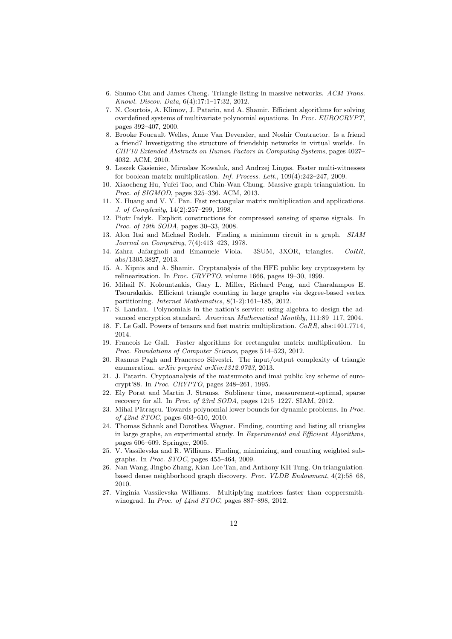- 6. Shumo Chu and James Cheng. Triangle listing in massive networks. ACM Trans. Knowl. Discov. Data, 6(4):17:1–17:32, 2012.
- 7. N. Courtois, A. Klimov, J. Patarin, and A. Shamir. Efficient algorithms for solving overdefined systems of multivariate polynomial equations. In Proc. EUROCRYPT, pages 392–407, 2000.
- 8. Brooke Foucault Welles, Anne Van Devender, and Noshir Contractor. Is a friend a friend? Investigating the structure of friendship networks in virtual worlds. In CHI'10 Extended Abstracts on Human Factors in Computing Systems, pages 4027– 4032. ACM, 2010.
- 9. Leszek Gasieniec, Miroslaw Kowaluk, and Andrzej Lingas. Faster multi-witnesses for boolean matrix multiplication. Inf. Process. Lett., 109(4):242–247, 2009.
- 10. Xiaocheng Hu, Yufei Tao, and Chin-Wan Chung. Massive graph triangulation. In Proc. of SIGMOD, pages 325–336. ACM, 2013.
- 11. X. Huang and V. Y. Pan. Fast rectangular matrix multiplication and applications. J. of Complexity, 14(2):257–299, 1998.
- 12. Piotr Indyk. Explicit constructions for compressed sensing of sparse signals. In Proc. of 19th SODA, pages 30–33, 2008.
- 13. Alon Itai and Michael Rodeh. Finding a minimum circuit in a graph. SIAM Journal on Computing, 7(4):413–423, 1978.
- 14. Zahra Jafargholi and Emanuele Viola. 3SUM, 3XOR, triangles. CoRR, abs/1305.3827, 2013.
- 15. A. Kipnis and A. Shamir. Cryptanalysis of the HFE public key cryptosystem by relinearization. In Proc. CRYPTO, volume 1666, pages 19–30, 1999.
- 16. Mihail N. Kolountzakis, Gary L. Miller, Richard Peng, and Charalampos E. Tsourakakis. Efficient triangle counting in large graphs via degree-based vertex partitioning. Internet Mathematics, 8(1-2):161–185, 2012.
- 17. S. Landau. Polynomials in the nation's service: using algebra to design the advanced encryption standard. American Mathematical Monthly, 111:89–117, 2004.
- 18. F. Le Gall. Powers of tensors and fast matrix multiplication. CoRR, abs:1401.7714, 2014.
- 19. Francois Le Gall. Faster algorithms for rectangular matrix multiplication. In Proc. Foundations of Computer Science, pages 514–523, 2012.
- 20. Rasmus Pagh and Francesco Silvestri. The input/output complexity of triangle enumeration. arXiv preprint arXiv:1312.0723, 2013.
- 21. J. Patarin. Cryptoanalysis of the matsumoto and imai public key scheme of eurocrypt'88. In Proc. CRYPTO, pages 248–261, 1995.
- 22. Ely Porat and Martin J. Strauss. Sublinear time, measurement-optimal, sparse recovery for all. In Proc. of 23rd SODA, pages 1215–1227. SIAM, 2012.
- 23. Mihai Pǎtraṣcu. Towards polynomial lower bounds for dynamic problems. In Proc. of 42nd STOC, pages 603–610, 2010.
- 24. Thomas Schank and Dorothea Wagner. Finding, counting and listing all triangles in large graphs, an experimental study. In Experimental and Efficient Algorithms, pages 606–609. Springer, 2005.
- 25. V. Vassilevska and R. Williams. Finding, minimizing, and counting weighted subgraphs. In Proc. STOC, pages 455–464, 2009.
- 26. Nan Wang, Jingbo Zhang, Kian-Lee Tan, and Anthony KH Tung. On triangulationbased dense neighborhood graph discovery. Proc. VLDB Endowment, 4(2):58–68, 2010.
- 27. Virginia Vassilevska Williams. Multiplying matrices faster than coppersmithwinograd. In Proc. of 44nd STOC, pages 887–898, 2012.